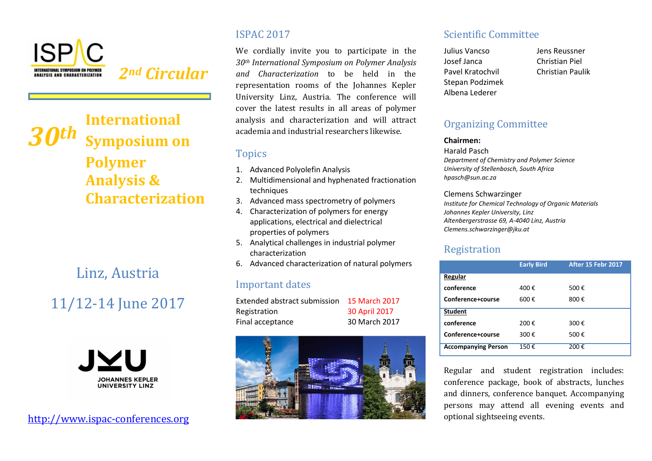

*2nd Circular* 

# *30th***InternationalSymposium onPolymer Analysis & Characterization**

## Linz, Austria

# 11/12-14 June 2017



http://www.ispac-conferences.org

## ISPAC 2017

We cordially invite you to participate in the *30th International Symposium on Polymer Analysis and Characterization* to be held in the representation rooms of the Johannes Kepler University Linz, Austria. The conference will cover the latest results in all areas of polymer analysis and characterization and will attract academia and industrial researchers likewise.

#### Topics

- 1. Advanced Polyolefin Analysis
- 2. Multidimensional and hyphenated fractionation techniques
- 3. Advanced mass spectrometry of polymers
- 4. Characterization of polymers for energy applications, electrical and dielectrical properties of polymers
- 5. Analytical challenges in industrial polymer characterization
- 6. Advanced characterization of natural polymers

## Important dates

| Extended abstract submission | 15 March 2017 |
|------------------------------|---------------|
| Registration                 | 30 April 2017 |
| Final acceptance             | 30 March 2017 |



## Scientific Committee

Julius VancsoJosef JancaPavel KratochvilStepan PodzimekAlbena Lederer

 Jens Reussner Christian Piel Christian Paulik

## Organizing Committee

#### **Chairmen:**

#### Harald Pasch

*Department of Chemistry and Polymer Science University of Stellenbosch, South Africa hpasch@sun.ac.za* 

#### Clemens Schwarzinger

*Institute for Chemical Technology of Organic Materials Johannes Kepler University, Linz Altenbergerstrasse 69, A-4040 Linz, Austria Clemens.schwarzinger@jku.at* 

## Registration

|                            | <b>Early Bird</b> | <b>After 15 Febr 2017</b> |
|----------------------------|-------------------|---------------------------|
| Regular                    |                   |                           |
| conference                 | 400€              | 500€                      |
| Conference+course          | 600€              | 800€                      |
| <b>Student</b>             |                   |                           |
| conference                 | 200€              | 300€                      |
| Conference+course          | 300€              | 500€                      |
| <b>Accompanying Person</b> | 150€              | 200€                      |

Regular and student registration includes: conference package, book of abstracts, lunches and dinners, conference banquet. Accompanying persons may attend all evening events and optional sightseeing events.